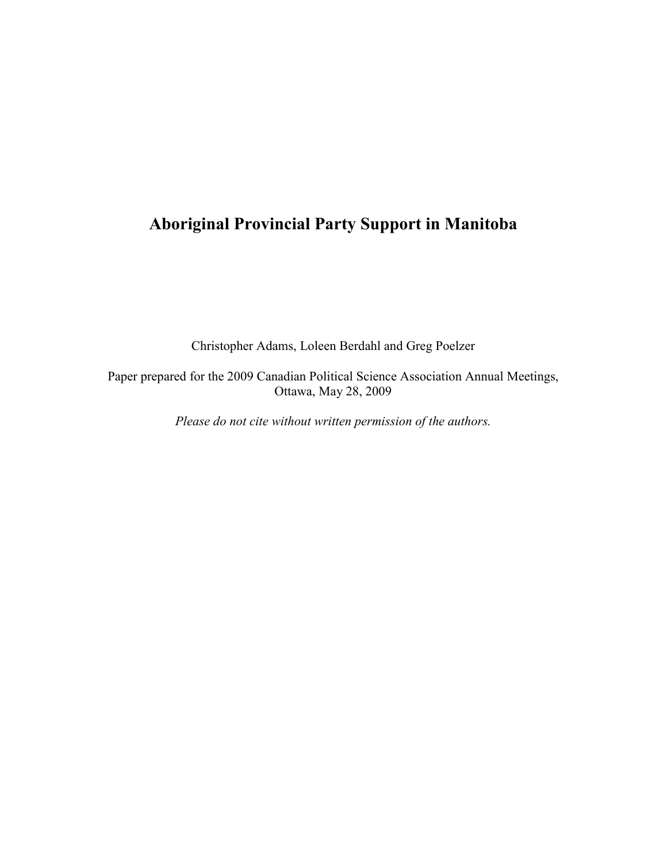# Aboriginal Provincial Party Support in Manitoba

Christopher Adams, Loleen Berdahl and Greg Poelzer

Paper prepared for the 2009 Canadian Political Science Association Annual Meetings, Ottawa, May 28, 2009

Please do not cite without written permission of the authors.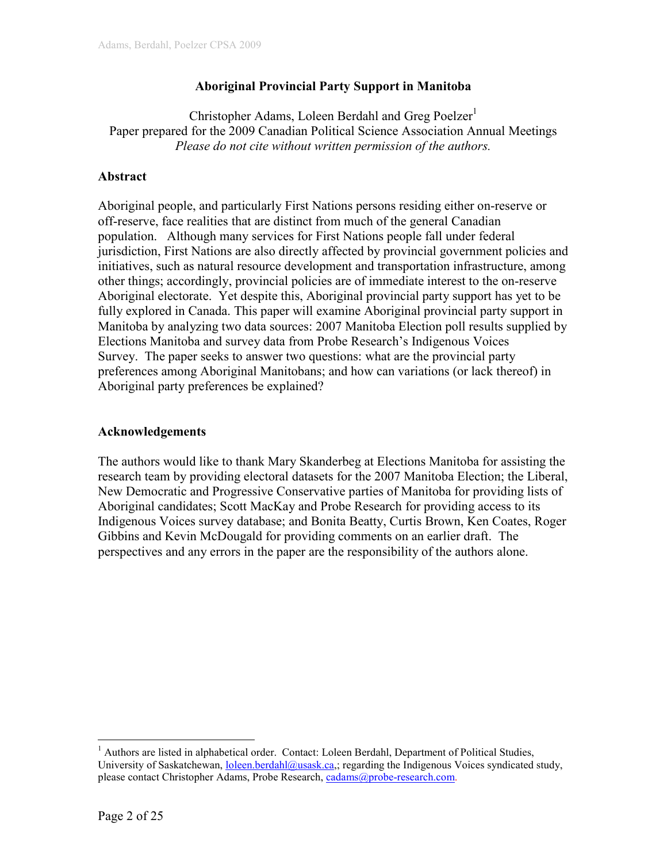## Aboriginal Provincial Party Support in Manitoba

Christopher Adams, Loleen Berdahl and Greg Poelzer<sup>1</sup> Paper prepared for the 2009 Canadian Political Science Association Annual Meetings Please do not cite without written permission of the authors.

## Abstract

Aboriginal people, and particularly First Nations persons residing either on-reserve or off-reserve, face realities that are distinct from much of the general Canadian population. Although many services for First Nations people fall under federal jurisdiction, First Nations are also directly affected by provincial government policies and initiatives, such as natural resource development and transportation infrastructure, among other things; accordingly, provincial policies are of immediate interest to the on-reserve Aboriginal electorate. Yet despite this, Aboriginal provincial party support has yet to be fully explored in Canada. This paper will examine Aboriginal provincial party support in Manitoba by analyzing two data sources: 2007 Manitoba Election poll results supplied by Elections Manitoba and survey data from Probe Research's Indigenous Voices Survey. The paper seeks to answer two questions: what are the provincial party preferences among Aboriginal Manitobans; and how can variations (or lack thereof) in Aboriginal party preferences be explained?

## Acknowledgements

The authors would like to thank Mary Skanderbeg at Elections Manitoba for assisting the research team by providing electoral datasets for the 2007 Manitoba Election; the Liberal, New Democratic and Progressive Conservative parties of Manitoba for providing lists of Aboriginal candidates; Scott MacKay and Probe Research for providing access to its Indigenous Voices survey database; and Bonita Beatty, Curtis Brown, Ken Coates, Roger Gibbins and Kevin McDougald for providing comments on an earlier draft. The perspectives and any errors in the paper are the responsibility of the authors alone.

<sup>&</sup>lt;u>.</u> <sup>1</sup> Authors are listed in alphabetical order. Contact: Loleen Berdahl, Department of Political Studies, University of Saskatchewan, <u>loleen.berdahl@usask.ca</u>,; regarding the Indigenous Voices syndicated study, please contact Christopher Adams, Probe Research, cadams@probe-research.com.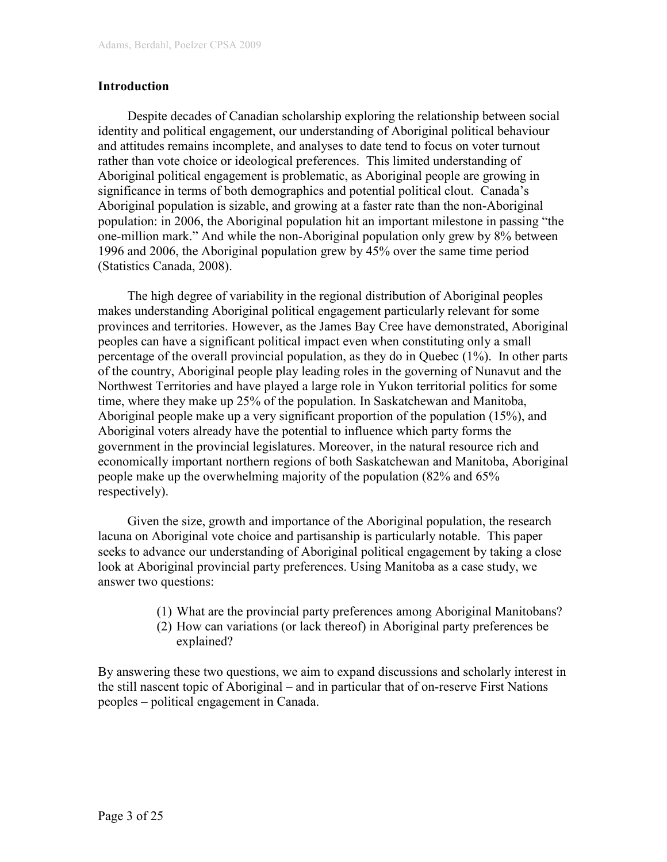### Introduction

Despite decades of Canadian scholarship exploring the relationship between social identity and political engagement, our understanding of Aboriginal political behaviour and attitudes remains incomplete, and analyses to date tend to focus on voter turnout rather than vote choice or ideological preferences. This limited understanding of Aboriginal political engagement is problematic, as Aboriginal people are growing in significance in terms of both demographics and potential political clout. Canada's Aboriginal population is sizable, and growing at a faster rate than the non-Aboriginal population: in 2006, the Aboriginal population hit an important milestone in passing "the one-million mark." And while the non-Aboriginal population only grew by 8% between 1996 and 2006, the Aboriginal population grew by 45% over the same time period (Statistics Canada, 2008).

The high degree of variability in the regional distribution of Aboriginal peoples makes understanding Aboriginal political engagement particularly relevant for some provinces and territories. However, as the James Bay Cree have demonstrated, Aboriginal peoples can have a significant political impact even when constituting only a small percentage of the overall provincial population, as they do in Quebec (1%). In other parts of the country, Aboriginal people play leading roles in the governing of Nunavut and the Northwest Territories and have played a large role in Yukon territorial politics for some time, where they make up 25% of the population. In Saskatchewan and Manitoba, Aboriginal people make up a very significant proportion of the population (15%), and Aboriginal voters already have the potential to influence which party forms the government in the provincial legislatures. Moreover, in the natural resource rich and economically important northern regions of both Saskatchewan and Manitoba, Aboriginal people make up the overwhelming majority of the population (82% and 65% respectively).

Given the size, growth and importance of the Aboriginal population, the research lacuna on Aboriginal vote choice and partisanship is particularly notable. This paper seeks to advance our understanding of Aboriginal political engagement by taking a close look at Aboriginal provincial party preferences. Using Manitoba as a case study, we answer two questions:

- (1) What are the provincial party preferences among Aboriginal Manitobans?
- (2) How can variations (or lack thereof) in Aboriginal party preferences be explained?

By answering these two questions, we aim to expand discussions and scholarly interest in the still nascent topic of Aboriginal – and in particular that of on-reserve First Nations peoples – political engagement in Canada.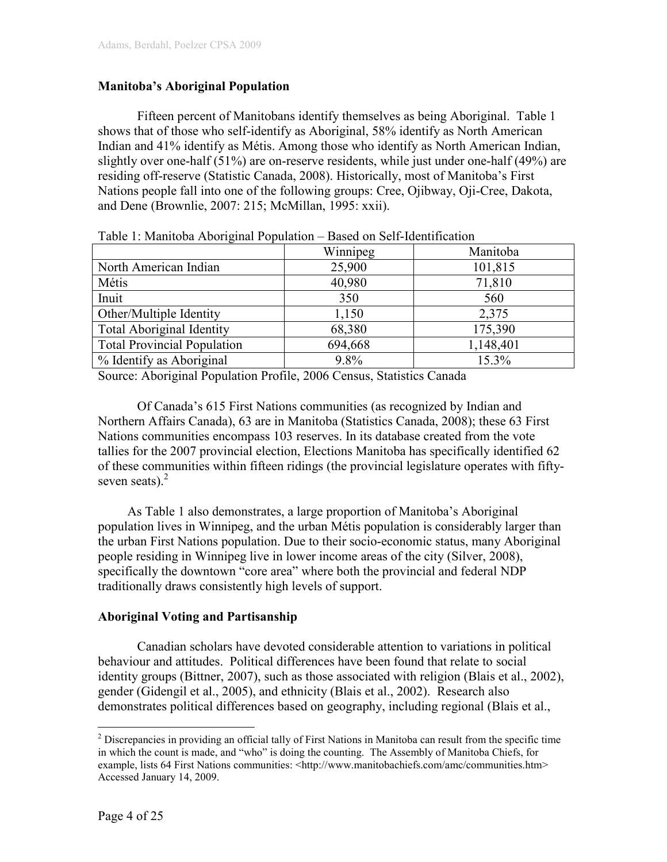## Manitoba's Aboriginal Population

Fifteen percent of Manitobans identify themselves as being Aboriginal. Table 1 shows that of those who self-identify as Aboriginal, 58% identify as North American Indian and 41% identify as Métis. Among those who identify as North American Indian, slightly over one-half (51%) are on-reserve residents, while just under one-half (49%) are residing off-reserve (Statistic Canada, 2008). Historically, most of Manitoba's First Nations people fall into one of the following groups: Cree, Ojibway, Oji-Cree, Dakota, and Dene (Brownlie, 2007: 215; McMillan, 1995: xxii).

|                                    | Winnipeg | Manitoba  |
|------------------------------------|----------|-----------|
| North American Indian              | 25,900   | 101,815   |
| Métis                              | 40,980   | 71,810    |
| Inuit                              | 350      | 560       |
| Other/Multiple Identity            | 1,150    | 2,375     |
| <b>Total Aboriginal Identity</b>   | 68,380   | 175,390   |
| <b>Total Provincial Population</b> | 694,668  | 1,148,401 |
| % Identify as Aboriginal           | 9.8%     | 15.3%     |

Table 1: Manitoba Aboriginal Population – Based on Self-Identification

Source: Aboriginal Population Profile, 2006 Census, Statistics Canada

 Of Canada's 615 First Nations communities (as recognized by Indian and Northern Affairs Canada), 63 are in Manitoba (Statistics Canada, 2008); these 63 First Nations communities encompass 103 reserves. In its database created from the vote tallies for the 2007 provincial election, Elections Manitoba has specifically identified 62 of these communities within fifteen ridings (the provincial legislature operates with fiftyseven seats). $2$ 

As Table 1 also demonstrates, a large proportion of Manitoba's Aboriginal population lives in Winnipeg, and the urban Métis population is considerably larger than the urban First Nations population. Due to their socio-economic status, many Aboriginal people residing in Winnipeg live in lower income areas of the city (Silver, 2008), specifically the downtown "core area" where both the provincial and federal NDP traditionally draws consistently high levels of support.

### Aboriginal Voting and Partisanship

 Canadian scholars have devoted considerable attention to variations in political behaviour and attitudes. Political differences have been found that relate to social identity groups (Bittner, 2007), such as those associated with religion (Blais et al., 2002), gender (Gidengil et al., 2005), and ethnicity (Blais et al., 2002). Research also demonstrates political differences based on geography, including regional (Blais et al.,

 $\overline{a}$ 

 $2^2$  Discrepancies in providing an official tally of First Nations in Manitoba can result from the specific time in which the count is made, and "who" is doing the counting. The Assembly of Manitoba Chiefs, for example, lists 64 First Nations communities: <http://www.manitobachiefs.com/amc/communities.htm> Accessed January 14, 2009.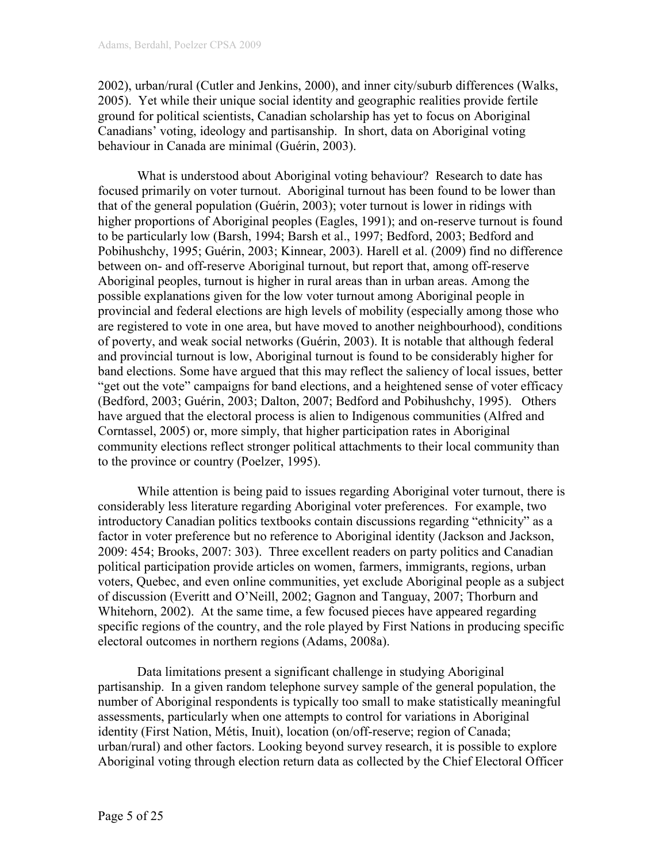2002), urban/rural (Cutler and Jenkins, 2000), and inner city/suburb differences (Walks, 2005). Yet while their unique social identity and geographic realities provide fertile ground for political scientists, Canadian scholarship has yet to focus on Aboriginal Canadians' voting, ideology and partisanship. In short, data on Aboriginal voting behaviour in Canada are minimal (Guérin, 2003).

 What is understood about Aboriginal voting behaviour? Research to date has focused primarily on voter turnout. Aboriginal turnout has been found to be lower than that of the general population (Guérin, 2003); voter turnout is lower in ridings with higher proportions of Aboriginal peoples (Eagles, 1991); and on-reserve turnout is found to be particularly low (Barsh, 1994; Barsh et al., 1997; Bedford, 2003; Bedford and Pobihushchy, 1995; Guérin, 2003; Kinnear, 2003). Harell et al. (2009) find no difference between on- and off-reserve Aboriginal turnout, but report that, among off-reserve Aboriginal peoples, turnout is higher in rural areas than in urban areas. Among the possible explanations given for the low voter turnout among Aboriginal people in provincial and federal elections are high levels of mobility (especially among those who are registered to vote in one area, but have moved to another neighbourhood), conditions of poverty, and weak social networks (Guérin, 2003). It is notable that although federal and provincial turnout is low, Aboriginal turnout is found to be considerably higher for band elections. Some have argued that this may reflect the saliency of local issues, better "get out the vote" campaigns for band elections, and a heightened sense of voter efficacy (Bedford, 2003; Guérin, 2003; Dalton, 2007; Bedford and Pobihushchy, 1995). Others have argued that the electoral process is alien to Indigenous communities (Alfred and Corntassel, 2005) or, more simply, that higher participation rates in Aboriginal community elections reflect stronger political attachments to their local community than to the province or country (Poelzer, 1995).

 While attention is being paid to issues regarding Aboriginal voter turnout, there is considerably less literature regarding Aboriginal voter preferences. For example, two introductory Canadian politics textbooks contain discussions regarding "ethnicity" as a factor in voter preference but no reference to Aboriginal identity (Jackson and Jackson, 2009: 454; Brooks, 2007: 303). Three excellent readers on party politics and Canadian political participation provide articles on women, farmers, immigrants, regions, urban voters, Quebec, and even online communities, yet exclude Aboriginal people as a subject of discussion (Everitt and O'Neill, 2002; Gagnon and Tanguay, 2007; Thorburn and Whitehorn, 2002). At the same time, a few focused pieces have appeared regarding specific regions of the country, and the role played by First Nations in producing specific electoral outcomes in northern regions (Adams, 2008a).

 Data limitations present a significant challenge in studying Aboriginal partisanship. In a given random telephone survey sample of the general population, the number of Aboriginal respondents is typically too small to make statistically meaningful assessments, particularly when one attempts to control for variations in Aboriginal identity (First Nation, Métis, Inuit), location (on/off-reserve; region of Canada; urban/rural) and other factors. Looking beyond survey research, it is possible to explore Aboriginal voting through election return data as collected by the Chief Electoral Officer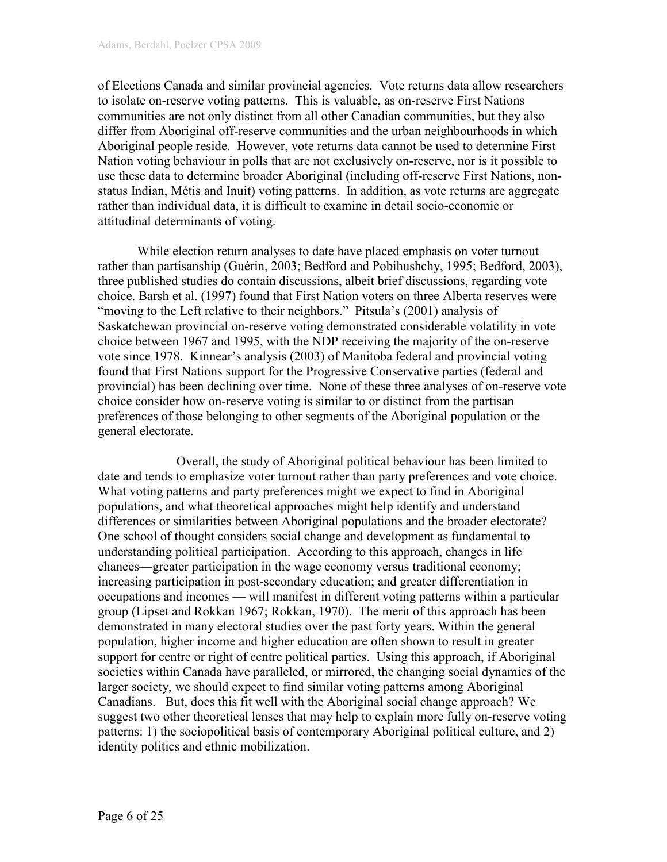of Elections Canada and similar provincial agencies. Vote returns data allow researchers to isolate on-reserve voting patterns. This is valuable, as on-reserve First Nations communities are not only distinct from all other Canadian communities, but they also differ from Aboriginal off-reserve communities and the urban neighbourhoods in which Aboriginal people reside. However, vote returns data cannot be used to determine First Nation voting behaviour in polls that are not exclusively on-reserve, nor is it possible to use these data to determine broader Aboriginal (including off-reserve First Nations, nonstatus Indian, Métis and Inuit) voting patterns. In addition, as vote returns are aggregate rather than individual data, it is difficult to examine in detail socio-economic or attitudinal determinants of voting.

 While election return analyses to date have placed emphasis on voter turnout rather than partisanship (Guérin, 2003; Bedford and Pobihushchy, 1995; Bedford, 2003), three published studies do contain discussions, albeit brief discussions, regarding vote choice. Barsh et al. (1997) found that First Nation voters on three Alberta reserves were "moving to the Left relative to their neighbors." Pitsula's (2001) analysis of Saskatchewan provincial on-reserve voting demonstrated considerable volatility in vote choice between 1967 and 1995, with the NDP receiving the majority of the on-reserve vote since 1978. Kinnear's analysis (2003) of Manitoba federal and provincial voting found that First Nations support for the Progressive Conservative parties (federal and provincial) has been declining over time. None of these three analyses of on-reserve vote choice consider how on-reserve voting is similar to or distinct from the partisan preferences of those belonging to other segments of the Aboriginal population or the general electorate.

 Overall, the study of Aboriginal political behaviour has been limited to date and tends to emphasize voter turnout rather than party preferences and vote choice. What voting patterns and party preferences might we expect to find in Aboriginal populations, and what theoretical approaches might help identify and understand differences or similarities between Aboriginal populations and the broader electorate? One school of thought considers social change and development as fundamental to understanding political participation. According to this approach, changes in life chances—greater participation in the wage economy versus traditional economy; increasing participation in post-secondary education; and greater differentiation in occupations and incomes — will manifest in different voting patterns within a particular group (Lipset and Rokkan 1967; Rokkan, 1970). The merit of this approach has been demonstrated in many electoral studies over the past forty years. Within the general population, higher income and higher education are often shown to result in greater support for centre or right of centre political parties. Using this approach, if Aboriginal societies within Canada have paralleled, or mirrored, the changing social dynamics of the larger society, we should expect to find similar voting patterns among Aboriginal Canadians. But, does this fit well with the Aboriginal social change approach? We suggest two other theoretical lenses that may help to explain more fully on-reserve voting patterns: 1) the sociopolitical basis of contemporary Aboriginal political culture, and 2) identity politics and ethnic mobilization.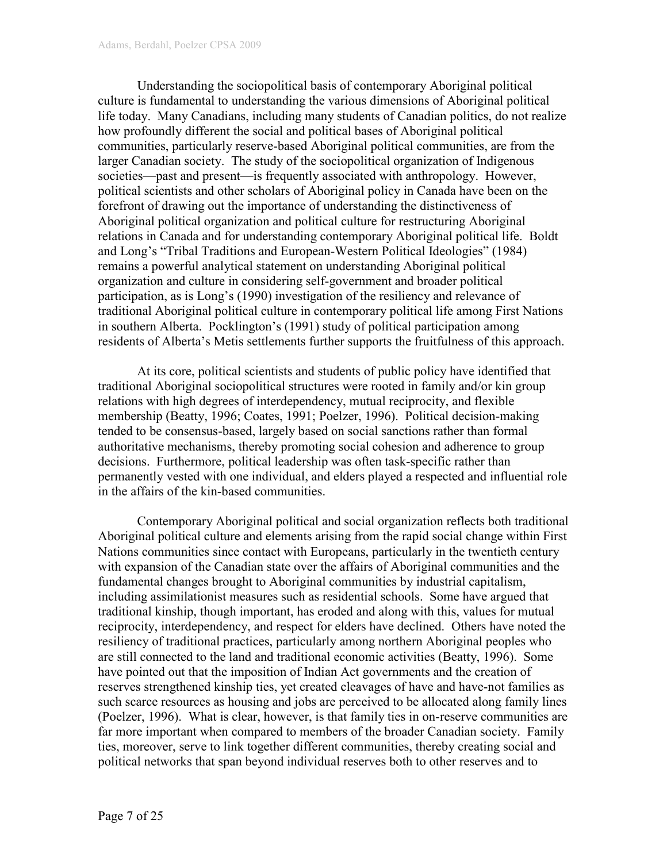Understanding the sociopolitical basis of contemporary Aboriginal political culture is fundamental to understanding the various dimensions of Aboriginal political life today. Many Canadians, including many students of Canadian politics, do not realize how profoundly different the social and political bases of Aboriginal political communities, particularly reserve-based Aboriginal political communities, are from the larger Canadian society. The study of the sociopolitical organization of Indigenous societies—past and present—is frequently associated with anthropology. However, political scientists and other scholars of Aboriginal policy in Canada have been on the forefront of drawing out the importance of understanding the distinctiveness of Aboriginal political organization and political culture for restructuring Aboriginal relations in Canada and for understanding contemporary Aboriginal political life. Boldt and Long's "Tribal Traditions and European-Western Political Ideologies" (1984) remains a powerful analytical statement on understanding Aboriginal political organization and culture in considering self-government and broader political participation, as is Long's (1990) investigation of the resiliency and relevance of traditional Aboriginal political culture in contemporary political life among First Nations in southern Alberta. Pocklington's (1991) study of political participation among residents of Alberta's Metis settlements further supports the fruitfulness of this approach.

At its core, political scientists and students of public policy have identified that traditional Aboriginal sociopolitical structures were rooted in family and/or kin group relations with high degrees of interdependency, mutual reciprocity, and flexible membership (Beatty, 1996; Coates, 1991; Poelzer, 1996). Political decision-making tended to be consensus-based, largely based on social sanctions rather than formal authoritative mechanisms, thereby promoting social cohesion and adherence to group decisions. Furthermore, political leadership was often task-specific rather than permanently vested with one individual, and elders played a respected and influential role in the affairs of the kin-based communities.

Contemporary Aboriginal political and social organization reflects both traditional Aboriginal political culture and elements arising from the rapid social change within First Nations communities since contact with Europeans, particularly in the twentieth century with expansion of the Canadian state over the affairs of Aboriginal communities and the fundamental changes brought to Aboriginal communities by industrial capitalism, including assimilationist measures such as residential schools. Some have argued that traditional kinship, though important, has eroded and along with this, values for mutual reciprocity, interdependency, and respect for elders have declined. Others have noted the resiliency of traditional practices, particularly among northern Aboriginal peoples who are still connected to the land and traditional economic activities (Beatty, 1996). Some have pointed out that the imposition of Indian Act governments and the creation of reserves strengthened kinship ties, yet created cleavages of have and have-not families as such scarce resources as housing and jobs are perceived to be allocated along family lines (Poelzer, 1996). What is clear, however, is that family ties in on-reserve communities are far more important when compared to members of the broader Canadian society. Family ties, moreover, serve to link together different communities, thereby creating social and political networks that span beyond individual reserves both to other reserves and to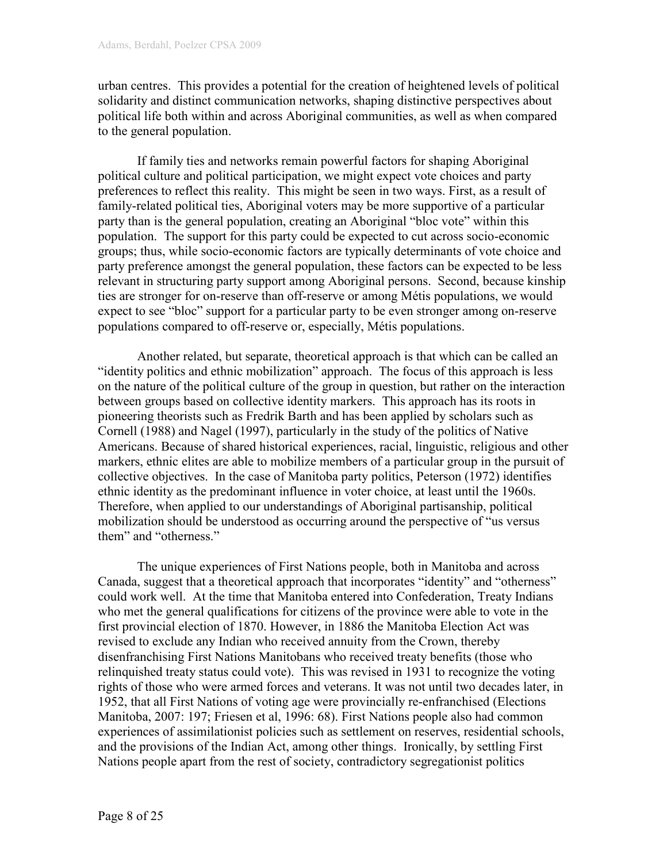urban centres. This provides a potential for the creation of heightened levels of political solidarity and distinct communication networks, shaping distinctive perspectives about political life both within and across Aboriginal communities, as well as when compared to the general population.

If family ties and networks remain powerful factors for shaping Aboriginal political culture and political participation, we might expect vote choices and party preferences to reflect this reality. This might be seen in two ways. First, as a result of family-related political ties, Aboriginal voters may be more supportive of a particular party than is the general population, creating an Aboriginal "bloc vote" within this population. The support for this party could be expected to cut across socio-economic groups; thus, while socio-economic factors are typically determinants of vote choice and party preference amongst the general population, these factors can be expected to be less relevant in structuring party support among Aboriginal persons. Second, because kinship ties are stronger for on-reserve than off-reserve or among Métis populations, we would expect to see "bloc" support for a particular party to be even stronger among on-reserve populations compared to off-reserve or, especially, Métis populations.

Another related, but separate, theoretical approach is that which can be called an "identity politics and ethnic mobilization" approach. The focus of this approach is less on the nature of the political culture of the group in question, but rather on the interaction between groups based on collective identity markers. This approach has its roots in pioneering theorists such as Fredrik Barth and has been applied by scholars such as Cornell (1988) and Nagel (1997), particularly in the study of the politics of Native Americans. Because of shared historical experiences, racial, linguistic, religious and other markers, ethnic elites are able to mobilize members of a particular group in the pursuit of collective objectives. In the case of Manitoba party politics, Peterson (1972) identifies ethnic identity as the predominant influence in voter choice, at least until the 1960s. Therefore, when applied to our understandings of Aboriginal partisanship, political mobilization should be understood as occurring around the perspective of "us versus them" and "otherness."

The unique experiences of First Nations people, both in Manitoba and across Canada, suggest that a theoretical approach that incorporates "identity" and "otherness" could work well. At the time that Manitoba entered into Confederation, Treaty Indians who met the general qualifications for citizens of the province were able to vote in the first provincial election of 1870. However, in 1886 the Manitoba Election Act was revised to exclude any Indian who received annuity from the Crown, thereby disenfranchising First Nations Manitobans who received treaty benefits (those who relinquished treaty status could vote). This was revised in 1931 to recognize the voting rights of those who were armed forces and veterans. It was not until two decades later, in 1952, that all First Nations of voting age were provincially re-enfranchised (Elections Manitoba, 2007: 197; Friesen et al, 1996: 68). First Nations people also had common experiences of assimilationist policies such as settlement on reserves, residential schools, and the provisions of the Indian Act, among other things. Ironically, by settling First Nations people apart from the rest of society, contradictory segregationist politics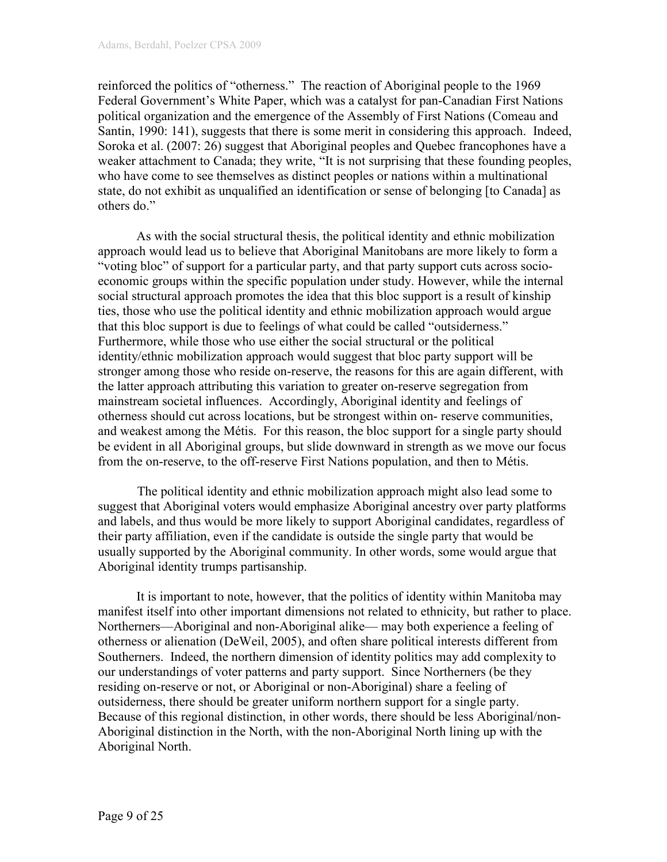reinforced the politics of "otherness." The reaction of Aboriginal people to the 1969 Federal Government's White Paper, which was a catalyst for pan-Canadian First Nations political organization and the emergence of the Assembly of First Nations (Comeau and Santin, 1990: 141), suggests that there is some merit in considering this approach. Indeed, Soroka et al. (2007: 26) suggest that Aboriginal peoples and Quebec francophones have a weaker attachment to Canada; they write, "It is not surprising that these founding peoples, who have come to see themselves as distinct peoples or nations within a multinational state, do not exhibit as unqualified an identification or sense of belonging [to Canada] as others do."

As with the social structural thesis, the political identity and ethnic mobilization approach would lead us to believe that Aboriginal Manitobans are more likely to form a "voting bloc" of support for a particular party, and that party support cuts across socioeconomic groups within the specific population under study. However, while the internal social structural approach promotes the idea that this bloc support is a result of kinship ties, those who use the political identity and ethnic mobilization approach would argue that this bloc support is due to feelings of what could be called "outsiderness." Furthermore, while those who use either the social structural or the political identity/ethnic mobilization approach would suggest that bloc party support will be stronger among those who reside on-reserve, the reasons for this are again different, with the latter approach attributing this variation to greater on-reserve segregation from mainstream societal influences. Accordingly, Aboriginal identity and feelings of otherness should cut across locations, but be strongest within on- reserve communities, and weakest among the Métis. For this reason, the bloc support for a single party should be evident in all Aboriginal groups, but slide downward in strength as we move our focus from the on-reserve, to the off-reserve First Nations population, and then to Métis.

The political identity and ethnic mobilization approach might also lead some to suggest that Aboriginal voters would emphasize Aboriginal ancestry over party platforms and labels, and thus would be more likely to support Aboriginal candidates, regardless of their party affiliation, even if the candidate is outside the single party that would be usually supported by the Aboriginal community. In other words, some would argue that Aboriginal identity trumps partisanship.

It is important to note, however, that the politics of identity within Manitoba may manifest itself into other important dimensions not related to ethnicity, but rather to place. Northerners—Aboriginal and non-Aboriginal alike— may both experience a feeling of otherness or alienation (DeWeil, 2005), and often share political interests different from Southerners. Indeed, the northern dimension of identity politics may add complexity to our understandings of voter patterns and party support. Since Northerners (be they residing on-reserve or not, or Aboriginal or non-Aboriginal) share a feeling of outsiderness, there should be greater uniform northern support for a single party. Because of this regional distinction, in other words, there should be less Aboriginal/non-Aboriginal distinction in the North, with the non-Aboriginal North lining up with the Aboriginal North.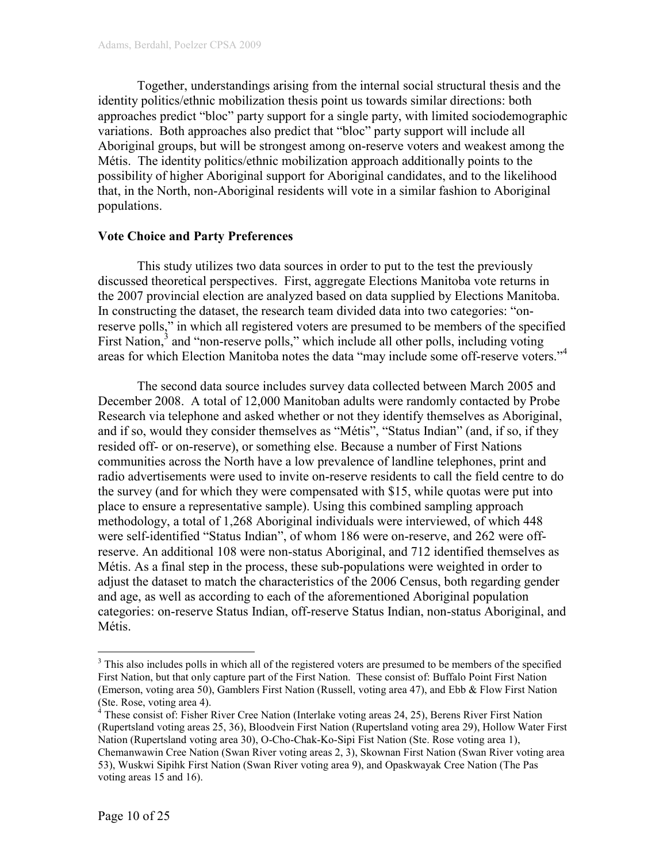Together, understandings arising from the internal social structural thesis and the identity politics/ethnic mobilization thesis point us towards similar directions: both approaches predict "bloc" party support for a single party, with limited sociodemographic variations. Both approaches also predict that "bloc" party support will include all Aboriginal groups, but will be strongest among on-reserve voters and weakest among the Métis. The identity politics/ethnic mobilization approach additionally points to the possibility of higher Aboriginal support for Aboriginal candidates, and to the likelihood that, in the North, non-Aboriginal residents will vote in a similar fashion to Aboriginal populations.

#### Vote Choice and Party Preferences

This study utilizes two data sources in order to put to the test the previously discussed theoretical perspectives. First, aggregate Elections Manitoba vote returns in the 2007 provincial election are analyzed based on data supplied by Elections Manitoba. In constructing the dataset, the research team divided data into two categories: "onreserve polls," in which all registered voters are presumed to be members of the specified First Nation,<sup>3</sup> and "non-reserve polls," which include all other polls, including voting areas for which Election Manitoba notes the data "may include some off-reserve voters."<sup>4</sup>

 The second data source includes survey data collected between March 2005 and December 2008. A total of 12,000 Manitoban adults were randomly contacted by Probe Research via telephone and asked whether or not they identify themselves as Aboriginal, and if so, would they consider themselves as "Métis", "Status Indian" (and, if so, if they resided off- or on-reserve), or something else. Because a number of First Nations communities across the North have a low prevalence of landline telephones, print and radio advertisements were used to invite on-reserve residents to call the field centre to do the survey (and for which they were compensated with \$15, while quotas were put into place to ensure a representative sample). Using this combined sampling approach methodology, a total of 1,268 Aboriginal individuals were interviewed, of which 448 were self-identified "Status Indian", of whom 186 were on-reserve, and 262 were offreserve. An additional 108 were non-status Aboriginal, and 712 identified themselves as Métis. As a final step in the process, these sub-populations were weighted in order to adjust the dataset to match the characteristics of the 2006 Census, both regarding gender and age, as well as according to each of the aforementioned Aboriginal population categories: on-reserve Status Indian, off-reserve Status Indian, non-status Aboriginal, and Métis.

 $\overline{a}$ 

<sup>&</sup>lt;sup>3</sup> This also includes polls in which all of the registered voters are presumed to be members of the specified First Nation, but that only capture part of the First Nation. These consist of: Buffalo Point First Nation (Emerson, voting area 50), Gamblers First Nation (Russell, voting area 47), and Ebb & Flow First Nation (Ste. Rose, voting area 4).

<sup>&</sup>lt;sup>4</sup> These consist of: Fisher River Cree Nation (Interlake voting areas 24, 25), Berens River First Nation (Rupertsland voting areas 25, 36), Bloodvein First Nation (Rupertsland voting area 29), Hollow Water First Nation (Rupertsland voting area 30), O-Cho-Chak-Ko-Sipi Fist Nation (Ste. Rose voting area 1), Chemanwawin Cree Nation (Swan River voting areas 2, 3), Skownan First Nation (Swan River voting area 53), Wuskwi Sipihk First Nation (Swan River voting area 9), and Opaskwayak Cree Nation (The Pas voting areas 15 and 16).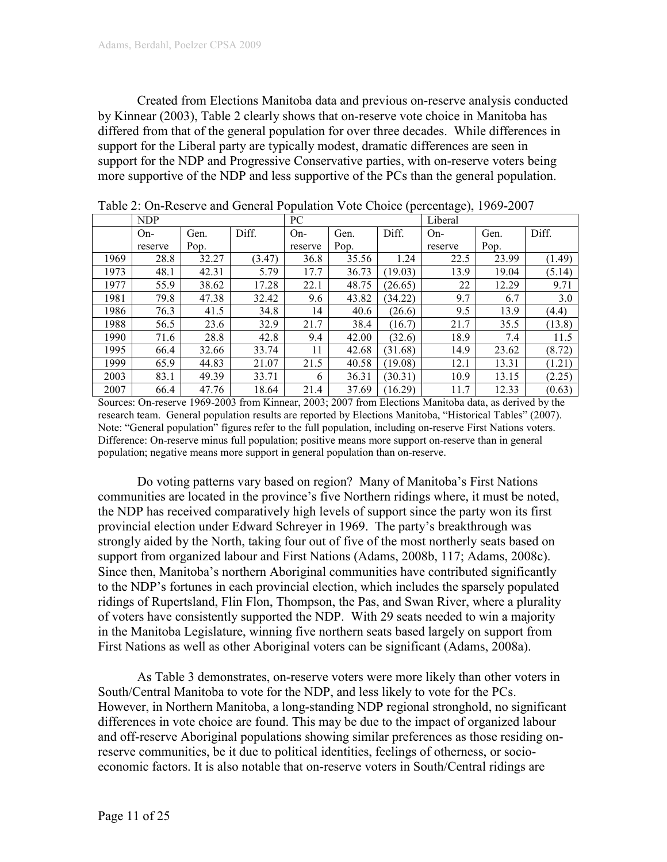Created from Elections Manitoba data and previous on-reserve analysis conducted by Kinnear (2003), Table 2 clearly shows that on-reserve vote choice in Manitoba has differed from that of the general population for over three decades. While differences in support for the Liberal party are typically modest, dramatic differences are seen in support for the NDP and Progressive Conservative parties, with on-reserve voters being more supportive of the NDP and less supportive of the PCs than the general population.

|      | $\cdots$ $\cdots$<br>$-0.000$ |       |        |         |       |         |         |       |        |
|------|-------------------------------|-------|--------|---------|-------|---------|---------|-------|--------|
|      | <b>NDP</b>                    |       |        | PC      |       |         | Liberal |       |        |
|      | $On-$                         | Gen.  | Diff.  | $On-$   | Gen.  | Diff.   | $On-$   | Gen.  | Diff.  |
|      | reserve                       | Pop.  |        | reserve | Pop.  |         | reserve | Pop.  |        |
| 1969 | 28.8                          | 32.27 | (3.47) | 36.8    | 35.56 | 1.24    | 22.5    | 23.99 | (1.49) |
| 1973 | 48.1                          | 42.31 | 5.79   | 17.7    | 36.73 | (19.03) | 13.9    | 19.04 | (5.14) |
| 1977 | 55.9                          | 38.62 | 17.28  | 22.1    | 48.75 | (26.65) | 22      | 12.29 | 9.71   |
| 1981 | 79.8                          | 47.38 | 32.42  | 9.6     | 43.82 | (34.22) | 9.7     | 6.7   | 3.0    |
| 1986 | 76.3                          | 41.5  | 34.8   | 14      | 40.6  | (26.6)  | 9.5     | 13.9  | (4.4)  |
| 1988 | 56.5                          | 23.6  | 32.9   | 21.7    | 38.4  | (16.7)  | 21.7    | 35.5  | (13.8) |
| 1990 | 71.6                          | 28.8  | 42.8   | 9.4     | 42.00 | (32.6)  | 18.9    | 7.4   | 11.5   |
| 1995 | 66.4                          | 32.66 | 33.74  | 11      | 42.68 | (31.68) | 14.9    | 23.62 | (8.72) |
| 1999 | 65.9                          | 44.83 | 21.07  | 21.5    | 40.58 | (19.08) | 12.1    | 13.31 | (1.21) |
| 2003 | 83.1                          | 49.39 | 33.71  | 6       | 36.31 | (30.31) | 10.9    | 13.15 | (2.25) |
| 2007 | 66.4                          | 47.76 | 18.64  | 21.4    | 37.69 | (16.29) | 11.7    | 12.33 | (0.63) |

|  | Table 2: On-Reserve and General Population Vote Choice (percentage), 1969-2007 |  |  |  |  |
|--|--------------------------------------------------------------------------------|--|--|--|--|
|--|--------------------------------------------------------------------------------|--|--|--|--|

Sources: On-reserve 1969-2003 from Kinnear, 2003; 2007 from Elections Manitoba data, as derived by the research team. General population results are reported by Elections Manitoba, "Historical Tables" (2007). Note: "General population" figures refer to the full population, including on-reserve First Nations voters. Difference: On-reserve minus full population; positive means more support on-reserve than in general population; negative means more support in general population than on-reserve.

Do voting patterns vary based on region? Many of Manitoba's First Nations communities are located in the province's five Northern ridings where, it must be noted, the NDP has received comparatively high levels of support since the party won its first provincial election under Edward Schreyer in 1969. The party's breakthrough was strongly aided by the North, taking four out of five of the most northerly seats based on support from organized labour and First Nations (Adams, 2008b, 117; Adams, 2008c). Since then, Manitoba's northern Aboriginal communities have contributed significantly to the NDP's fortunes in each provincial election, which includes the sparsely populated ridings of Rupertsland, Flin Flon, Thompson, the Pas, and Swan River, where a plurality of voters have consistently supported the NDP. With 29 seats needed to win a majority in the Manitoba Legislature, winning five northern seats based largely on support from First Nations as well as other Aboriginal voters can be significant (Adams, 2008a).

As Table 3 demonstrates, on-reserve voters were more likely than other voters in South/Central Manitoba to vote for the NDP, and less likely to vote for the PCs. However, in Northern Manitoba, a long-standing NDP regional stronghold, no significant differences in vote choice are found. This may be due to the impact of organized labour and off-reserve Aboriginal populations showing similar preferences as those residing onreserve communities, be it due to political identities, feelings of otherness, or socioeconomic factors. It is also notable that on-reserve voters in South/Central ridings are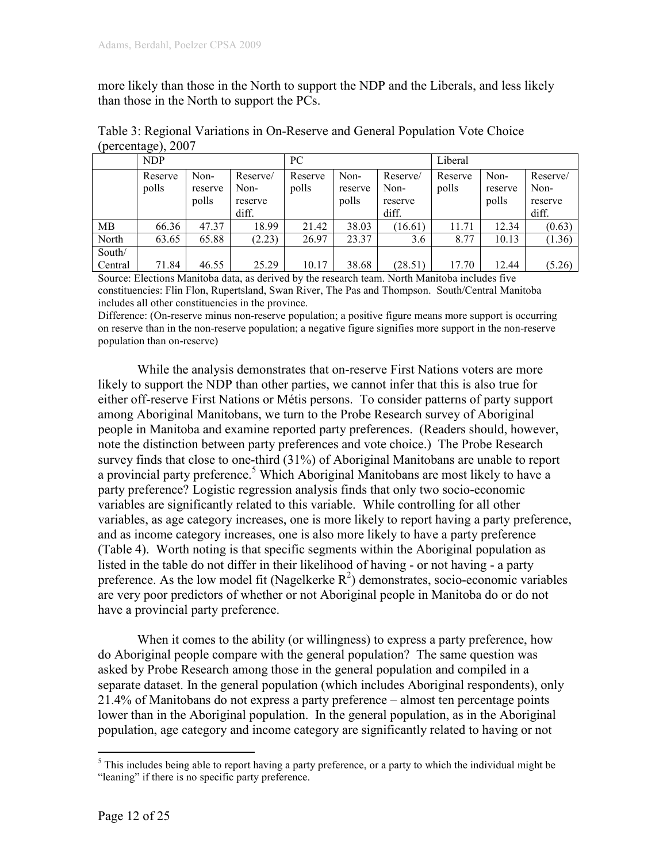more likely than those in the North to support the NDP and the Liberals, and less likely than those in the North to support the PCs.

|                   | <b>NDP</b>       |                          |                                      | PC               |                          |                                      | Liberal          |                          |                                      |
|-------------------|------------------|--------------------------|--------------------------------------|------------------|--------------------------|--------------------------------------|------------------|--------------------------|--------------------------------------|
|                   | Reserve<br>polls | Non-<br>reserve<br>polls | Reserve/<br>Non-<br>reserve<br>diff. | Reserve<br>polls | Non-<br>reserve<br>polls | Reserve/<br>Non-<br>reserve<br>diff. | Reserve<br>polls | Non-<br>reserve<br>polls | Reserve/<br>Non-<br>reserve<br>diff. |
| MB                | 66.36            | 47.37                    | 18.99                                | 21.42            | 38.03                    | (16.61)                              | 11.71            | 12.34                    | (0.63)                               |
| North             | 63.65            | 65.88                    | (2.23)                               | 26.97            | 23.37                    | 3.6                                  | 8.77             | 10.13                    | (1.36)                               |
| South/<br>Central | 71.84            | 46.55                    | 25.29                                | 10.17            | 38.68                    | (28.51)                              | 17.70            | 12.44                    | (5.26)                               |

Table 3: Regional Variations in On-Reserve and General Population Vote Choice (percentage), 2007

Source: Elections Manitoba data, as derived by the research team. North Manitoba includes five constituencies: Flin Flon, Rupertsland, Swan River, The Pas and Thompson. South/Central Manitoba includes all other constituencies in the province.

Difference: (On-reserve minus non-reserve population; a positive figure means more support is occurring on reserve than in the non-reserve population; a negative figure signifies more support in the non-reserve population than on-reserve)

While the analysis demonstrates that on-reserve First Nations voters are more likely to support the NDP than other parties, we cannot infer that this is also true for either off-reserve First Nations or Métis persons. To consider patterns of party support among Aboriginal Manitobans, we turn to the Probe Research survey of Aboriginal people in Manitoba and examine reported party preferences. (Readers should, however, note the distinction between party preferences and vote choice.) The Probe Research survey finds that close to one-third (31%) of Aboriginal Manitobans are unable to report a provincial party preference.<sup>5</sup> Which Aboriginal Manitobans are most likely to have a party preference? Logistic regression analysis finds that only two socio-economic variables are significantly related to this variable. While controlling for all other variables, as age category increases, one is more likely to report having a party preference, and as income category increases, one is also more likely to have a party preference (Table 4). Worth noting is that specific segments within the Aboriginal population as listed in the table do not differ in their likelihood of having - or not having - a party preference. As the low model fit (Nagelkerke  $R^2$ ) demonstrates, socio-economic variables are very poor predictors of whether or not Aboriginal people in Manitoba do or do not have a provincial party preference.

 When it comes to the ability (or willingness) to express a party preference, how do Aboriginal people compare with the general population? The same question was asked by Probe Research among those in the general population and compiled in a separate dataset. In the general population (which includes Aboriginal respondents), only 21.4% of Manitobans do not express a party preference – almost ten percentage points lower than in the Aboriginal population. In the general population, as in the Aboriginal population, age category and income category are significantly related to having or not

<sup>&</sup>lt;sup>5</sup>This includes being able to report having a party preference, or a party to which the individual might be "leaning" if there is no specific party preference.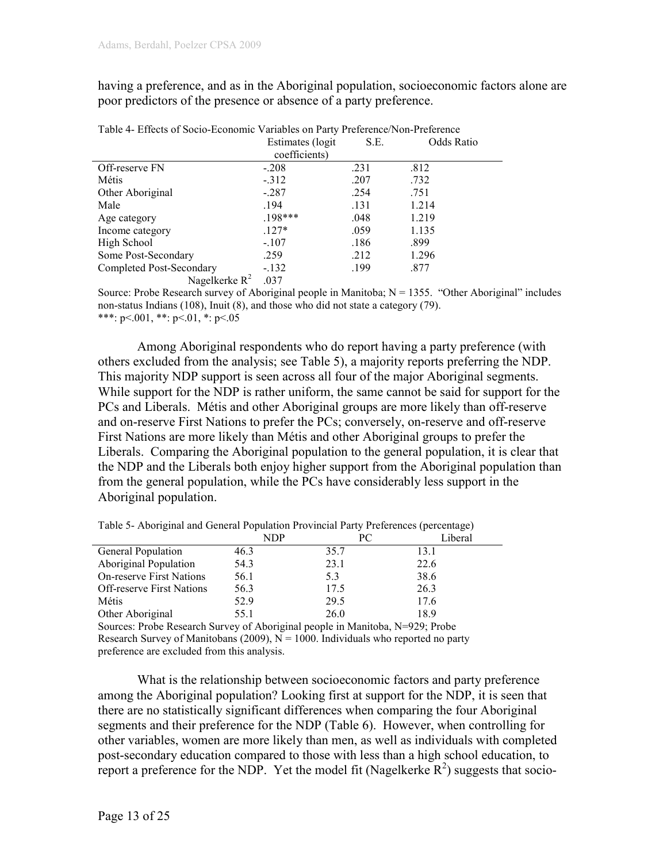having a preference, and as in the Aboriginal population, socioeconomic factors alone are poor predictors of the presence or absence of a party preference.

|                          | Estimates (logit) | S.E. | Odds Ratio |
|--------------------------|-------------------|------|------------|
|                          | coefficients)     |      |            |
| Off-reserve FN           | $-.208$           | .231 | .812       |
| Métis                    | $-312$            | .207 | .732       |
| Other Aboriginal         | $-.287$           | .254 | .751       |
| Male                     | .194              | .131 | 1.214      |
| Age category             | $.198***$         | .048 | 1.219      |
| Income category          | $.127*$           | .059 | 1.135      |
| High School              | $-.107$           | .186 | .899       |
| Some Post-Secondary      | .259              | .212 | 1.296      |
| Completed Post-Secondary | $-.132$           | .199 | .877       |
| Nagelkerke $R^2$         | .037              |      |            |

Table 4- Effects of Socio-Economic Variables on Party Preference/Non-Preference

Source: Probe Research survey of Aboriginal people in Manitoba;  $N = 1355$ . "Other Aboriginal" includes non-status Indians (108), Inuit (8), and those who did not state a category (79). \*\*\*: p<.001, \*\*: p<.01, \*: p<.05

 Among Aboriginal respondents who do report having a party preference (with others excluded from the analysis; see Table 5), a majority reports preferring the NDP. This majority NDP support is seen across all four of the major Aboriginal segments. While support for the NDP is rather uniform, the same cannot be said for support for the PCs and Liberals. Métis and other Aboriginal groups are more likely than off-reserve and on-reserve First Nations to prefer the PCs; conversely, on-reserve and off-reserve First Nations are more likely than Métis and other Aboriginal groups to prefer the Liberals. Comparing the Aboriginal population to the general population, it is clear that the NDP and the Liberals both enjoy higher support from the Aboriginal population than from the general population, while the PCs have considerably less support in the Aboriginal population.

| Table 5- Aboriginal and General Population Provincial Party Preferences (percentage) |      |    |         |
|--------------------------------------------------------------------------------------|------|----|---------|
|                                                                                      | NDP. | PС | Liberal |

|                                  | NDP  | P€   | Liberal |
|----------------------------------|------|------|---------|
| <b>General Population</b>        | 46.3 | 35.7 | 13.1    |
| <b>Aboriginal Population</b>     | 54.3 | 23.1 | 22.6    |
| <b>On-reserve First Nations</b>  | 56.1 | 5.3  | 38.6    |
| <b>Off-reserve First Nations</b> | 56.3 | 17.5 | 26.3    |
| Métis                            | 52.9 | 29.5 | 17.6    |
| Other Aboriginal                 | 55.1 | 26.0 | 18.9    |
|                                  |      |      |         |

Sources: Probe Research Survey of Aboriginal people in Manitoba, N=929; Probe Research Survey of Manitobans (2009),  $N = 1000$ . Individuals who reported no party preference are excluded from this analysis.

What is the relationship between socioeconomic factors and party preference among the Aboriginal population? Looking first at support for the NDP, it is seen that there are no statistically significant differences when comparing the four Aboriginal segments and their preference for the NDP (Table 6). However, when controlling for other variables, women are more likely than men, as well as individuals with completed post-secondary education compared to those with less than a high school education, to report a preference for the NDP. Yet the model fit (Nagelkerke  $\mathbb{R}^2$ ) suggests that socio-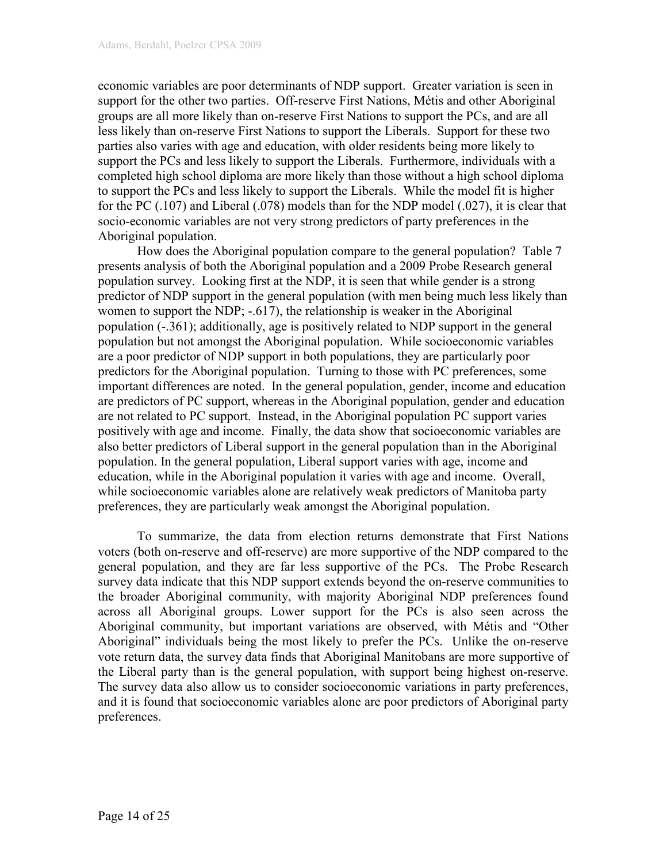economic variables are poor determinants of NDP support. Greater variation is seen in support for the other two parties. Off-reserve First Nations, Métis and other Aboriginal groups are all more likely than on-reserve First Nations to support the PCs, and are all less likely than on-reserve First Nations to support the Liberals. Support for these two parties also varies with age and education, with older residents being more likely to support the PCs and less likely to support the Liberals. Furthermore, individuals with a completed high school diploma are more likely than those without a high school diploma to support the PCs and less likely to support the Liberals. While the model fit is higher for the PC (.107) and Liberal (.078) models than for the NDP model (.027), it is clear that socio-economic variables are not very strong predictors of party preferences in the Aboriginal population.

 How does the Aboriginal population compare to the general population? Table 7 presents analysis of both the Aboriginal population and a 2009 Probe Research general population survey. Looking first at the NDP, it is seen that while gender is a strong predictor of NDP support in the general population (with men being much less likely than women to support the NDP; -.617), the relationship is weaker in the Aboriginal population (-.361); additionally, age is positively related to NDP support in the general population but not amongst the Aboriginal population. While socioeconomic variables are a poor predictor of NDP support in both populations, they are particularly poor predictors for the Aboriginal population. Turning to those with PC preferences, some important differences are noted. In the general population, gender, income and education are predictors of PC support, whereas in the Aboriginal population, gender and education are not related to PC support. Instead, in the Aboriginal population PC support varies positively with age and income. Finally, the data show that socioeconomic variables are also better predictors of Liberal support in the general population than in the Aboriginal population. In the general population, Liberal support varies with age, income and education, while in the Aboriginal population it varies with age and income. Overall, while socioeconomic variables alone are relatively weak predictors of Manitoba party preferences, they are particularly weak amongst the Aboriginal population.

 To summarize, the data from election returns demonstrate that First Nations voters (both on-reserve and off-reserve) are more supportive of the NDP compared to the general population, and they are far less supportive of the PCs. The Probe Research survey data indicate that this NDP support extends beyond the on-reserve communities to the broader Aboriginal community, with majority Aboriginal NDP preferences found across all Aboriginal groups. Lower support for the PCs is also seen across the Aboriginal community, but important variations are observed, with Métis and "Other Aboriginal" individuals being the most likely to prefer the PCs. Unlike the on-reserve vote return data, the survey data finds that Aboriginal Manitobans are more supportive of the Liberal party than is the general population, with support being highest on-reserve. The survey data also allow us to consider socioeconomic variations in party preferences, and it is found that socioeconomic variables alone are poor predictors of Aboriginal party preferences.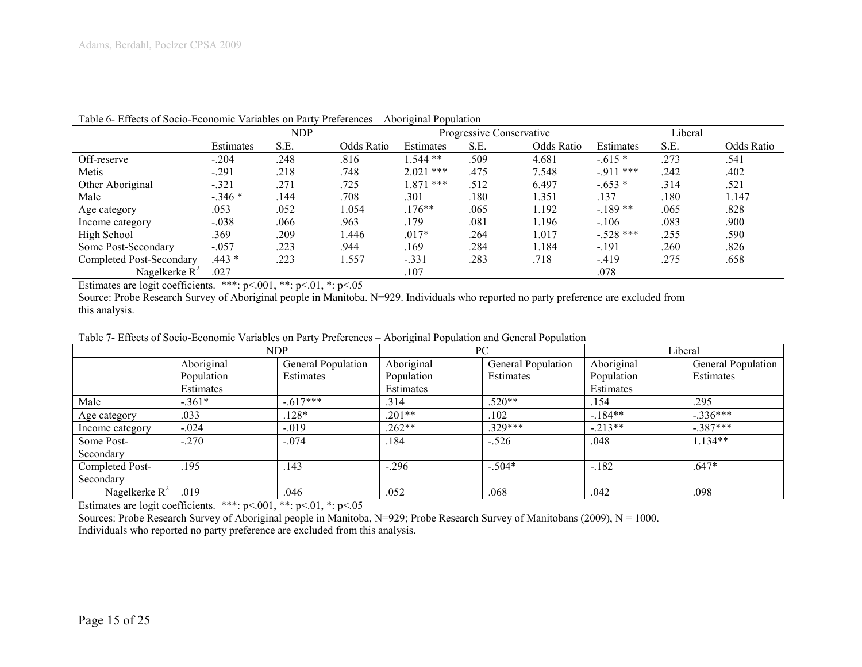|                          |           | <b>NDP</b> |                   |             | Progressive Conservative |            |             | Liberal |            |
|--------------------------|-----------|------------|-------------------|-------------|--------------------------|------------|-------------|---------|------------|
|                          | Estimates | S.E.       | <b>Odds Ratio</b> | Estimates   | S.E.                     | Odds Ratio | Estimates   | S.E.    | Odds Ratio |
| Off-reserve              | $-.204$   | .248       | .816              | $.544**$    | .509                     | 4.681      | $-.615*$    | .273    | .541       |
| Metis                    | $-.291$   | .218       | .748              | $2.021$ *** | .475                     | 7.548      | $-911$ ***  | .242    | .402       |
| Other Aboriginal         | $-.321$   | .271       | .725              | 1.871 ***   | .512                     | 6.497      | $-.653*$    | .314    | .521       |
| Male                     | $-.346*$  | .144       | .708              | .301        | .180                     | 1.351      | .137        | .180    | 1.147      |
| Age category             | .053      | .052       | 1.054             | $.176**$    | .065                     | .192       | $-189**$    | .065    | .828       |
| Income category          | $-.038$   | .066       | .963              | .179        | .081                     | .196       | $-.106$     | .083    | .900       |
| High School              | .369      | 209        | 1.446             | $.017*$     | .264                     | 1.017      | $-.528$ *** | .255    | .590       |
| Some Post-Secondary      | $-.057$   | .223       | .944              | .169        | .284                     | .184       | $-.191$     | .260    | .826       |
| Completed Post-Secondary | $.443*$   | .223       | 1.557             | $-.331$     | .283                     | .718       | $-419$      | .275    | .658       |
| Nagelkerke $R^2$         | .027      |            |                   | .107        |                          |            | .078        |         |            |

Table 6- Effects of Socio-Economic Variables on Party Preferences – Aboriginal Population

Estimates are logit coefficients. \*\*\*: p<.001, \*\*: p<.01, \*: p<.05

Source: Probe Research Survey of Aboriginal people in Manitoba. N=929. Individuals who reported no party preference are excluded from this analysis.

|                  | <b>NDP</b> |                    | $\sim$     | PC                 | Liberal    |                    |  |
|------------------|------------|--------------------|------------|--------------------|------------|--------------------|--|
|                  | Aboriginal | General Population | Aboriginal | General Population | Aboriginal | General Population |  |
|                  | Population | Estimates          | Population | Estimates          | Population | Estimates          |  |
|                  | Estimates  |                    | Estimates  |                    | Estimates  |                    |  |
| Male             | $-.361*$   | $-.617***$         | .314       | $.520**$           | .154       | .295               |  |
| Age category     | .033       | 128*               | $.201**$   | .102               | $-184**$   | $-.336***$         |  |
| Income category  | $-.024$    | $-0.019$           | $.262**$   | $329***$           | $-.213**$  | $-.387***$         |  |
| Some Post-       | $-.270$    | $-.074$            | .184       | $-.526$            | .048       | $1.134**$          |  |
| Secondary        |            |                    |            |                    |            |                    |  |
| Completed Post-  | .195       | .143               | $-.296$    | $-.504*$           | $-.182$    | $.647*$            |  |
| Secondary        |            |                    |            |                    |            |                    |  |
| Nagelkerke $R^2$ | .019       | .046               | .052       | .068               | .042       | .098               |  |

Table 7- Effects of Socio-Economic Variables on Party Preferences – Aboriginal Population and General Population

Estimates are logit coefficients. \*\*\*:  $p<001$ , \*\*:  $p<01$ , \*:  $p<05$ 

Sources: Probe Research Survey of Aboriginal people in Manitoba, N=929; Probe Research Survey of Manitobans (2009), N = 1000. Individuals who reported no party preference are excluded from this analysis.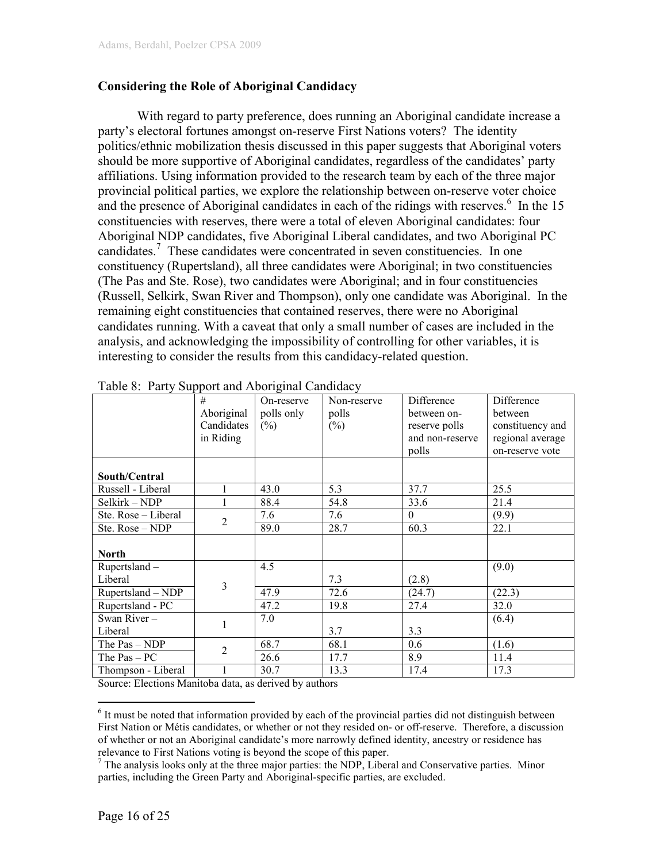## Considering the Role of Aboriginal Candidacy

With regard to party preference, does running an Aboriginal candidate increase a party's electoral fortunes amongst on-reserve First Nations voters? The identity politics/ethnic mobilization thesis discussed in this paper suggests that Aboriginal voters should be more supportive of Aboriginal candidates, regardless of the candidates' party affiliations. Using information provided to the research team by each of the three major provincial political parties, we explore the relationship between on-reserve voter choice and the presence of Aboriginal candidates in each of the ridings with reserves. $\frac{6}{10}$  In the 15 constituencies with reserves, there were a total of eleven Aboriginal candidates: four Aboriginal NDP candidates, five Aboriginal Liberal candidates, and two Aboriginal PC candidates.<sup>7</sup> These candidates were concentrated in seven constituencies. In one constituency (Rupertsland), all three candidates were Aboriginal; in two constituencies (The Pas and Ste. Rose), two candidates were Aboriginal; and in four constituencies (Russell, Selkirk, Swan River and Thompson), only one candidate was Aboriginal. In the remaining eight constituencies that contained reserves, there were no Aboriginal candidates running. With a caveat that only a small number of cases are included in the analysis, and acknowledging the impossibility of controlling for other variables, it is interesting to consider the results from this candidacy-related question.

|                     | #              | On-reserve | Non-reserve | Difference      | Difference       |
|---------------------|----------------|------------|-------------|-----------------|------------------|
|                     | Aboriginal     | polls only | polls       | between on-     | between          |
|                     | Candidates     | $(\%)$     | $(\%)$      | reserve polls   | constituency and |
|                     | in Riding      |            |             | and non-reserve | regional average |
|                     |                |            |             | polls           | on-reserve vote  |
|                     |                |            |             |                 |                  |
| South/Central       |                |            |             |                 |                  |
| Russell - Liberal   | 1              | 43.0       | 5.3         | 37.7            | 25.5             |
| Selkirk - NDP       | 1              | 88.4       | 54.8        | 33.6            | 21.4             |
| Ste. Rose - Liberal | $\overline{2}$ | 7.6        | 7.6         | $\theta$        | (9.9)            |
| Ste. Rose - NDP     |                | 89.0       | 28.7        | 60.3            | 22.1             |
|                     |                |            |             |                 |                  |
| <b>North</b>        |                |            |             |                 |                  |
| Rupertsland -       |                | 4.5        |             |                 | (9.0)            |
| Liberal             | $\overline{3}$ |            | 7.3         | (2.8)           |                  |
| Rupertsland - NDP   |                | 47.9       | 72.6        | (24.7)          | (22.3)           |
| Rupertsland - PC    |                | 47.2       | 19.8        | 27.4            | 32.0             |
| Swan River -        | 1              | 7.0        |             |                 | (6.4)            |
| Liberal             |                |            | 3.7         | 3.3             |                  |
| The Pas - NDP       | $\overline{2}$ | 68.7       | 68.1        | 0.6             | (1.6)            |
| The $Pas - PC$      |                | 26.6       | 17.7        | 8.9             | 11.4             |
| Thompson - Liberal  |                | 30.7       | 13.3        | 17.4            | 17.3             |

Source: Elections Manitoba data, as derived by authors

<sup>&</sup>lt;sup>6</sup> It must be noted that information provided by each of the provincial parties did not distinguish between First Nation or Métis candidates, or whether or not they resided on- or off-reserve. Therefore, a discussion of whether or not an Aboriginal candidate's more narrowly defined identity, ancestry or residence has relevance to First Nations voting is beyond the scope of this paper.

 $<sup>7</sup>$  The analysis looks only at the three major parties: the NDP, Liberal and Conservative parties. Minor</sup> parties, including the Green Party and Aboriginal-specific parties, are excluded.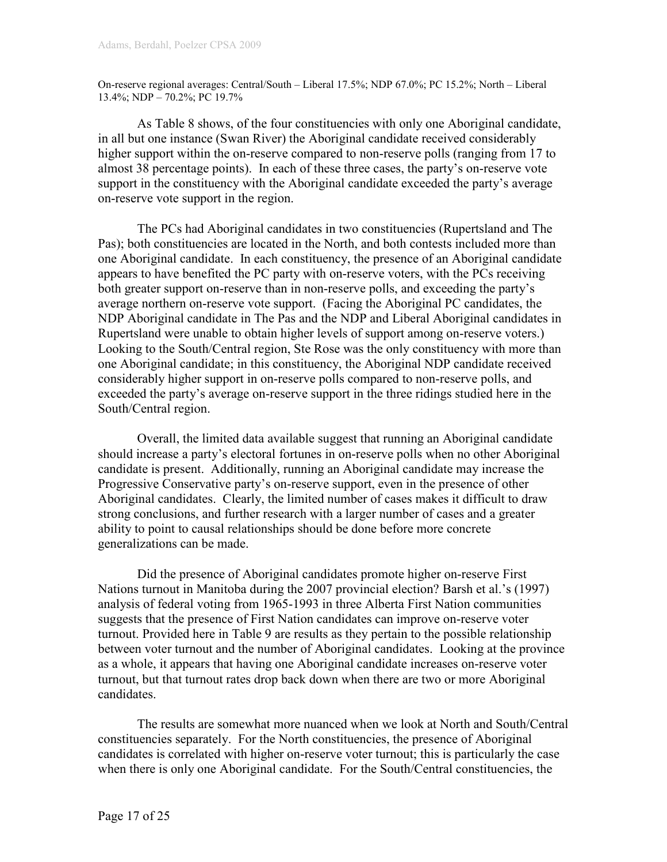On-reserve regional averages: Central/South – Liberal 17.5%; NDP 67.0%; PC 15.2%; North – Liberal 13.4%; NDP – 70.2%; PC 19.7%

 As Table 8 shows, of the four constituencies with only one Aboriginal candidate, in all but one instance (Swan River) the Aboriginal candidate received considerably higher support within the on-reserve compared to non-reserve polls (ranging from 17 to almost 38 percentage points). In each of these three cases, the party's on-reserve vote support in the constituency with the Aboriginal candidate exceeded the party's average on-reserve vote support in the region.

 The PCs had Aboriginal candidates in two constituencies (Rupertsland and The Pas); both constituencies are located in the North, and both contests included more than one Aboriginal candidate. In each constituency, the presence of an Aboriginal candidate appears to have benefited the PC party with on-reserve voters, with the PCs receiving both greater support on-reserve than in non-reserve polls, and exceeding the party's average northern on-reserve vote support. (Facing the Aboriginal PC candidates, the NDP Aboriginal candidate in The Pas and the NDP and Liberal Aboriginal candidates in Rupertsland were unable to obtain higher levels of support among on-reserve voters.) Looking to the South/Central region, Ste Rose was the only constituency with more than one Aboriginal candidate; in this constituency, the Aboriginal NDP candidate received considerably higher support in on-reserve polls compared to non-reserve polls, and exceeded the party's average on-reserve support in the three ridings studied here in the South/Central region.

 Overall, the limited data available suggest that running an Aboriginal candidate should increase a party's electoral fortunes in on-reserve polls when no other Aboriginal candidate is present. Additionally, running an Aboriginal candidate may increase the Progressive Conservative party's on-reserve support, even in the presence of other Aboriginal candidates. Clearly, the limited number of cases makes it difficult to draw strong conclusions, and further research with a larger number of cases and a greater ability to point to causal relationships should be done before more concrete generalizations can be made.

 Did the presence of Aboriginal candidates promote higher on-reserve First Nations turnout in Manitoba during the 2007 provincial election? Barsh et al.'s (1997) analysis of federal voting from 1965-1993 in three Alberta First Nation communities suggests that the presence of First Nation candidates can improve on-reserve voter turnout. Provided here in Table 9 are results as they pertain to the possible relationship between voter turnout and the number of Aboriginal candidates. Looking at the province as a whole, it appears that having one Aboriginal candidate increases on-reserve voter turnout, but that turnout rates drop back down when there are two or more Aboriginal candidates.

 The results are somewhat more nuanced when we look at North and South/Central constituencies separately. For the North constituencies, the presence of Aboriginal candidates is correlated with higher on-reserve voter turnout; this is particularly the case when there is only one Aboriginal candidate. For the South/Central constituencies, the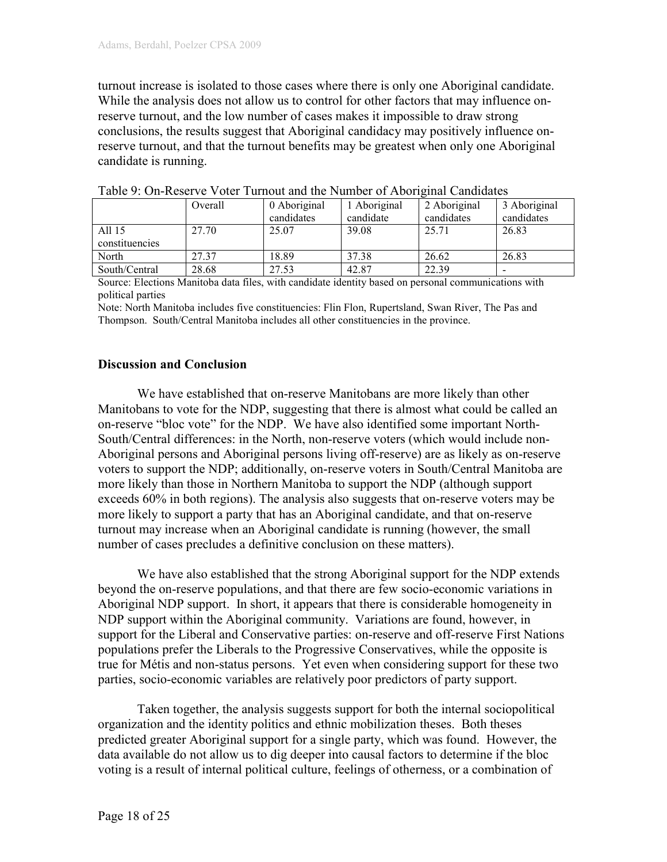turnout increase is isolated to those cases where there is only one Aboriginal candidate. While the analysis does not allow us to control for other factors that may influence onreserve turnout, and the low number of cases makes it impossible to draw strong conclusions, the results suggest that Aboriginal candidacy may positively influence onreserve turnout, and that the turnout benefits may be greatest when only one Aboriginal candidate is running.

|                | Overall | 0 Aboriginal | 1 Aboriginal | 2 Aboriginal | 3 Aboriginal |
|----------------|---------|--------------|--------------|--------------|--------------|
|                |         | candidates   | candidate    | candidates   | candidates   |
| All 15         | 27.70   | 25.07        | 39.08        | 25.71        | 26.83        |
| constituencies |         |              |              |              |              |
| North          | 27.37   | 18.89        | 37.38        | 26.62        | 26.83        |
| South/Central  | 28.68   | 27.53        | 42.87        | 22.39        |              |

| Table 9: On-Reserve Voter Turnout and the Number of Aboriginal Candidates |  |  |  |  |  |  |
|---------------------------------------------------------------------------|--|--|--|--|--|--|
|---------------------------------------------------------------------------|--|--|--|--|--|--|

Source: Elections Manitoba data files, with candidate identity based on personal communications with political parties

Note: North Manitoba includes five constituencies: Flin Flon, Rupertsland, Swan River, The Pas and Thompson. South/Central Manitoba includes all other constituencies in the province.

#### Discussion and Conclusion

We have established that on-reserve Manitobans are more likely than other Manitobans to vote for the NDP, suggesting that there is almost what could be called an on-reserve "bloc vote" for the NDP. We have also identified some important North-South/Central differences: in the North, non-reserve voters (which would include non-Aboriginal persons and Aboriginal persons living off-reserve) are as likely as on-reserve voters to support the NDP; additionally, on-reserve voters in South/Central Manitoba are more likely than those in Northern Manitoba to support the NDP (although support exceeds 60% in both regions). The analysis also suggests that on-reserve voters may be more likely to support a party that has an Aboriginal candidate, and that on-reserve turnout may increase when an Aboriginal candidate is running (however, the small number of cases precludes a definitive conclusion on these matters).

We have also established that the strong Aboriginal support for the NDP extends beyond the on-reserve populations, and that there are few socio-economic variations in Aboriginal NDP support. In short, it appears that there is considerable homogeneity in NDP support within the Aboriginal community. Variations are found, however, in support for the Liberal and Conservative parties: on-reserve and off-reserve First Nations populations prefer the Liberals to the Progressive Conservatives, while the opposite is true for Métis and non-status persons. Yet even when considering support for these two parties, socio-economic variables are relatively poor predictors of party support.

 Taken together, the analysis suggests support for both the internal sociopolitical organization and the identity politics and ethnic mobilization theses. Both theses predicted greater Aboriginal support for a single party, which was found. However, the data available do not allow us to dig deeper into causal factors to determine if the bloc voting is a result of internal political culture, feelings of otherness, or a combination of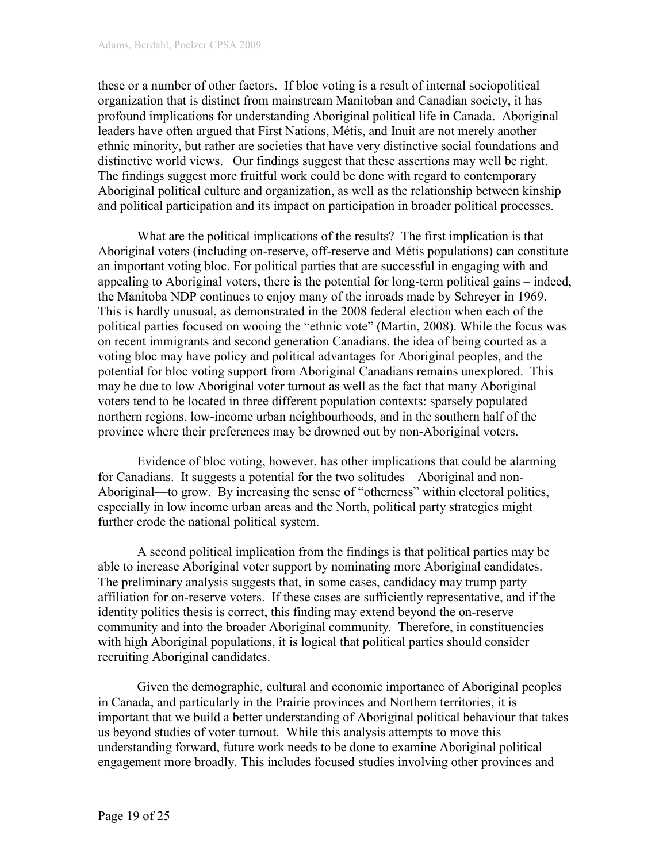these or a number of other factors. If bloc voting is a result of internal sociopolitical organization that is distinct from mainstream Manitoban and Canadian society, it has profound implications for understanding Aboriginal political life in Canada. Aboriginal leaders have often argued that First Nations, Métis, and Inuit are not merely another ethnic minority, but rather are societies that have very distinctive social foundations and distinctive world views. Our findings suggest that these assertions may well be right. The findings suggest more fruitful work could be done with regard to contemporary Aboriginal political culture and organization, as well as the relationship between kinship and political participation and its impact on participation in broader political processes.

What are the political implications of the results? The first implication is that Aboriginal voters (including on-reserve, off-reserve and Métis populations) can constitute an important voting bloc. For political parties that are successful in engaging with and appealing to Aboriginal voters, there is the potential for long-term political gains – indeed, the Manitoba NDP continues to enjoy many of the inroads made by Schreyer in 1969. This is hardly unusual, as demonstrated in the 2008 federal election when each of the political parties focused on wooing the "ethnic vote" (Martin, 2008). While the focus was on recent immigrants and second generation Canadians, the idea of being courted as a voting bloc may have policy and political advantages for Aboriginal peoples, and the potential for bloc voting support from Aboriginal Canadians remains unexplored. This may be due to low Aboriginal voter turnout as well as the fact that many Aboriginal voters tend to be located in three different population contexts: sparsely populated northern regions, low-income urban neighbourhoods, and in the southern half of the province where their preferences may be drowned out by non-Aboriginal voters.

Evidence of bloc voting, however, has other implications that could be alarming for Canadians. It suggests a potential for the two solitudes—Aboriginal and non-Aboriginal—to grow. By increasing the sense of "otherness" within electoral politics, especially in low income urban areas and the North, political party strategies might further erode the national political system.

 A second political implication from the findings is that political parties may be able to increase Aboriginal voter support by nominating more Aboriginal candidates. The preliminary analysis suggests that, in some cases, candidacy may trump party affiliation for on-reserve voters. If these cases are sufficiently representative, and if the identity politics thesis is correct, this finding may extend beyond the on-reserve community and into the broader Aboriginal community. Therefore, in constituencies with high Aboriginal populations, it is logical that political parties should consider recruiting Aboriginal candidates.

 Given the demographic, cultural and economic importance of Aboriginal peoples in Canada, and particularly in the Prairie provinces and Northern territories, it is important that we build a better understanding of Aboriginal political behaviour that takes us beyond studies of voter turnout. While this analysis attempts to move this understanding forward, future work needs to be done to examine Aboriginal political engagement more broadly. This includes focused studies involving other provinces and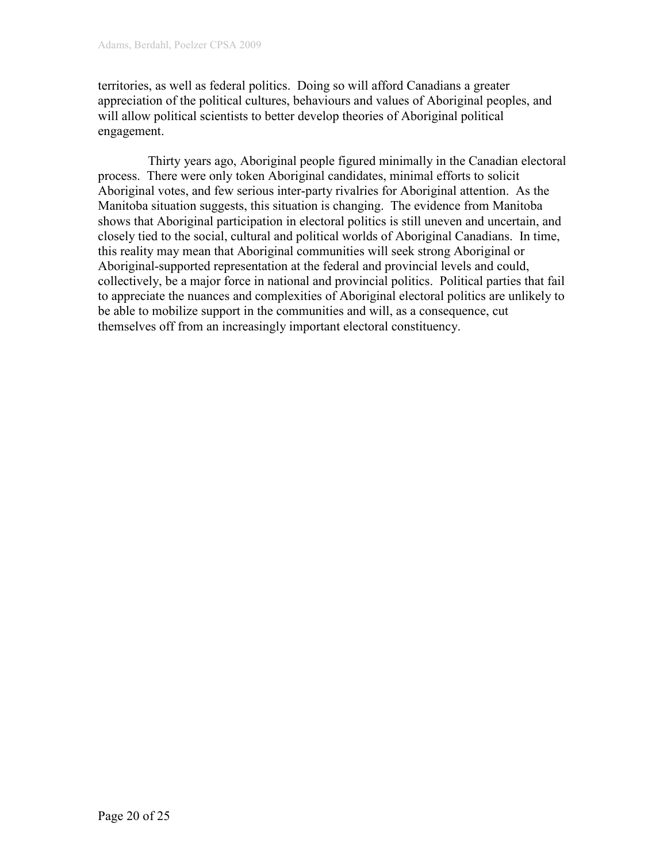territories, as well as federal politics. Doing so will afford Canadians a greater appreciation of the political cultures, behaviours and values of Aboriginal peoples, and will allow political scientists to better develop theories of Aboriginal political engagement.

 Thirty years ago, Aboriginal people figured minimally in the Canadian electoral process. There were only token Aboriginal candidates, minimal efforts to solicit Aboriginal votes, and few serious inter-party rivalries for Aboriginal attention. As the Manitoba situation suggests, this situation is changing. The evidence from Manitoba shows that Aboriginal participation in electoral politics is still uneven and uncertain, and closely tied to the social, cultural and political worlds of Aboriginal Canadians. In time, this reality may mean that Aboriginal communities will seek strong Aboriginal or Aboriginal-supported representation at the federal and provincial levels and could, collectively, be a major force in national and provincial politics. Political parties that fail to appreciate the nuances and complexities of Aboriginal electoral politics are unlikely to be able to mobilize support in the communities and will, as a consequence, cut themselves off from an increasingly important electoral constituency.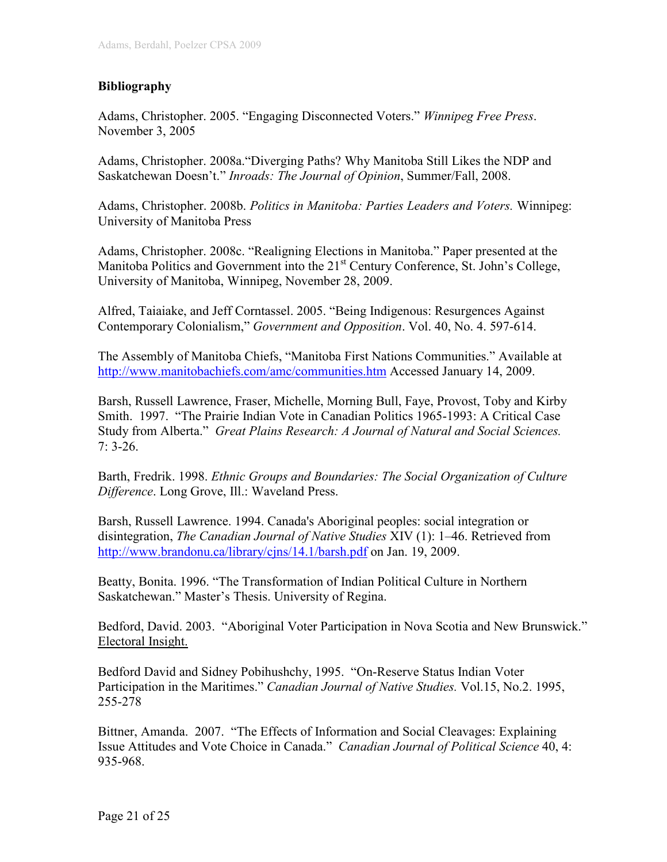# Bibliography

Adams, Christopher. 2005. "Engaging Disconnected Voters." Winnipeg Free Press. November 3, 2005

Adams, Christopher. 2008a."Diverging Paths? Why Manitoba Still Likes the NDP and Saskatchewan Doesn't." Inroads: The Journal of Opinion, Summer/Fall, 2008.

Adams, Christopher. 2008b. Politics in Manitoba: Parties Leaders and Voters. Winnipeg: University of Manitoba Press

Adams, Christopher. 2008c. "Realigning Elections in Manitoba." Paper presented at the Manitoba Politics and Government into the  $21<sup>st</sup>$  Century Conference, St. John's College, University of Manitoba, Winnipeg, November 28, 2009.

Alfred, Taiaiake, and Jeff Corntassel. 2005. "Being Indigenous: Resurgences Against Contemporary Colonialism," Government and Opposition. Vol. 40, No. 4. 597-614.

The Assembly of Manitoba Chiefs, "Manitoba First Nations Communities." Available at http://www.manitobachiefs.com/amc/communities.htm Accessed January 14, 2009.

Barsh, Russell Lawrence, Fraser, Michelle, Morning Bull, Faye, Provost, Toby and Kirby Smith. 1997. "The Prairie Indian Vote in Canadian Politics 1965-1993: A Critical Case Study from Alberta." Great Plains Research: A Journal of Natural and Social Sciences.  $7: 3-26.$ 

Barth, Fredrik. 1998. Ethnic Groups and Boundaries: The Social Organization of Culture Difference. Long Grove, Ill.: Waveland Press.

Barsh, Russell Lawrence. 1994. Canada's Aboriginal peoples: social integration or disintegration, The Canadian Journal of Native Studies XIV (1): 1–46. Retrieved from http://www.brandonu.ca/library/cjns/14.1/barsh.pdf on Jan. 19, 2009.

Beatty, Bonita. 1996. "The Transformation of Indian Political Culture in Northern Saskatchewan." Master's Thesis. University of Regina.

Bedford, David. 2003. "Aboriginal Voter Participation in Nova Scotia and New Brunswick." Electoral Insight.

Bedford David and Sidney Pobihushchy, 1995. "On-Reserve Status Indian Voter Participation in the Maritimes." Canadian Journal of Native Studies. Vol.15, No.2. 1995, 255-278

Bittner, Amanda. 2007. "The Effects of Information and Social Cleavages: Explaining Issue Attitudes and Vote Choice in Canada." Canadian Journal of Political Science 40, 4: 935-968.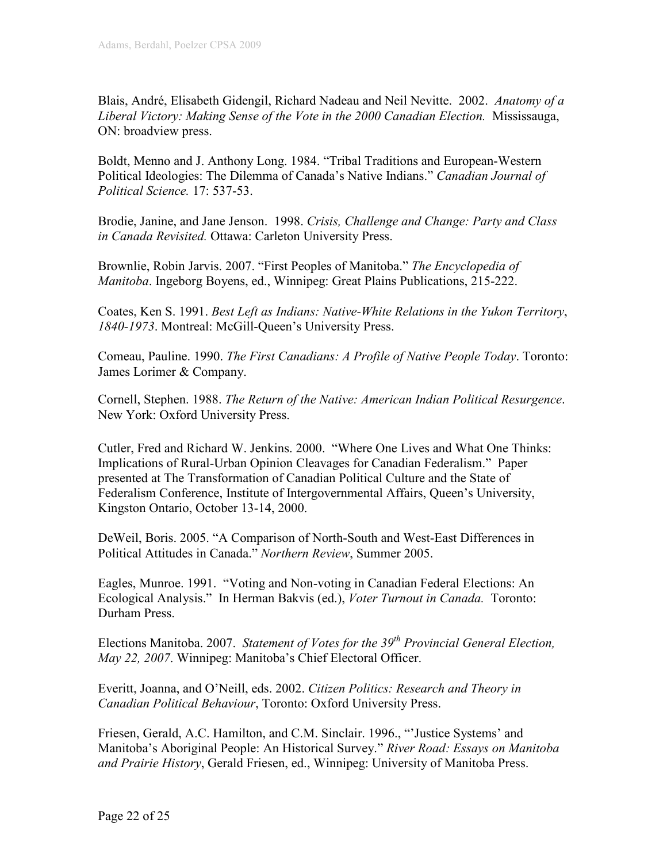Blais, André, Elisabeth Gidengil, Richard Nadeau and Neil Nevitte. 2002. Anatomy of a Liberal Victory: Making Sense of the Vote in the 2000 Canadian Election. Mississauga, ON: broadview press.

Boldt, Menno and J. Anthony Long. 1984. "Tribal Traditions and European-Western Political Ideologies: The Dilemma of Canada's Native Indians." Canadian Journal of Political Science. 17: 537-53.

Brodie, Janine, and Jane Jenson. 1998. Crisis, Challenge and Change: Party and Class in Canada Revisited. Ottawa: Carleton University Press.

Brownlie, Robin Jarvis. 2007. "First Peoples of Manitoba." The Encyclopedia of Manitoba. Ingeborg Boyens, ed., Winnipeg: Great Plains Publications, 215-222.

Coates, Ken S. 1991. Best Left as Indians: Native-White Relations in the Yukon Territory, 1840-1973. Montreal: McGill-Queen's University Press.

Comeau, Pauline. 1990. The First Canadians: A Profile of Native People Today. Toronto: James Lorimer & Company.

Cornell, Stephen. 1988. The Return of the Native: American Indian Political Resurgence. New York: Oxford University Press.

Cutler, Fred and Richard W. Jenkins. 2000. "Where One Lives and What One Thinks: Implications of Rural-Urban Opinion Cleavages for Canadian Federalism." Paper presented at The Transformation of Canadian Political Culture and the State of Federalism Conference, Institute of Intergovernmental Affairs, Queen's University, Kingston Ontario, October 13-14, 2000.

DeWeil, Boris. 2005. "A Comparison of North-South and West-East Differences in Political Attitudes in Canada." Northern Review, Summer 2005.

Eagles, Munroe. 1991. "Voting and Non-voting in Canadian Federal Elections: An Ecological Analysis." In Herman Bakvis (ed.), Voter Turnout in Canada. Toronto: Durham Press.

Elections Manitoba. 2007. Statement of Votes for the  $39<sup>th</sup>$  Provincial General Election, May 22, 2007. Winnipeg: Manitoba's Chief Electoral Officer.

Everitt, Joanna, and O'Neill, eds. 2002. Citizen Politics: Research and Theory in Canadian Political Behaviour, Toronto: Oxford University Press.

Friesen, Gerald, A.C. Hamilton, and C.M. Sinclair. 1996., "'Justice Systems' and Manitoba's Aboriginal People: An Historical Survey." River Road: Essays on Manitoba and Prairie History, Gerald Friesen, ed., Winnipeg: University of Manitoba Press.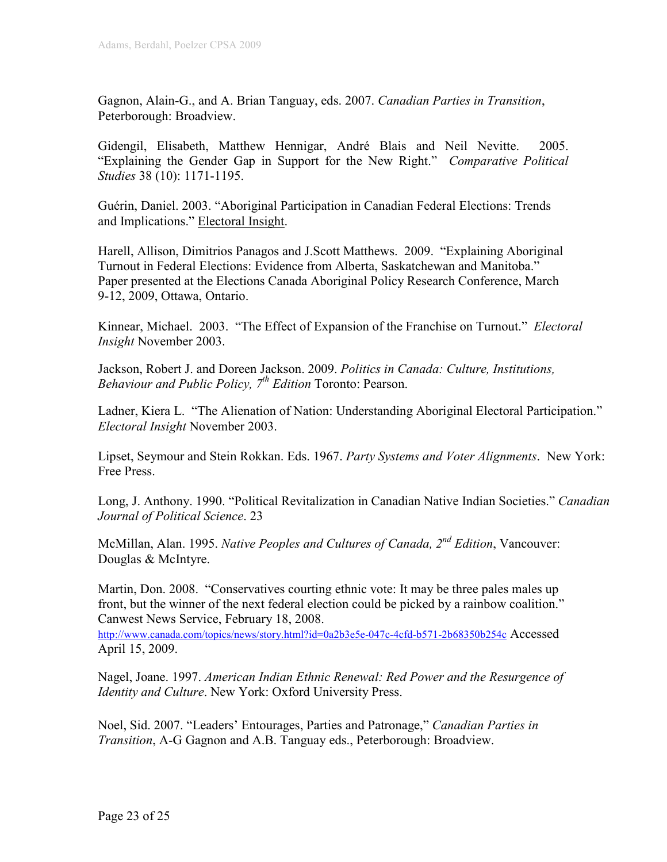Gagnon, Alain-G., and A. Brian Tanguay, eds. 2007. Canadian Parties in Transition, Peterborough: Broadview.

Gidengil, Elisabeth, Matthew Hennigar, André Blais and Neil Nevitte. 2005. "Explaining the Gender Gap in Support for the New Right." Comparative Political Studies 38 (10): 1171-1195.

Guérin, Daniel. 2003. "Aboriginal Participation in Canadian Federal Elections: Trends and Implications." Electoral Insight.

Harell, Allison, Dimitrios Panagos and J.Scott Matthews. 2009. "Explaining Aboriginal Turnout in Federal Elections: Evidence from Alberta, Saskatchewan and Manitoba." Paper presented at the Elections Canada Aboriginal Policy Research Conference, March 9-12, 2009, Ottawa, Ontario.

Kinnear, Michael. 2003. "The Effect of Expansion of the Franchise on Turnout." *Electoral* Insight November 2003.

Jackson, Robert J. and Doreen Jackson. 2009. Politics in Canada: Culture, Institutions, Behaviour and Public Policy,  $7<sup>th</sup>$  Edition Toronto: Pearson.

Ladner, Kiera L. "The Alienation of Nation: Understanding Aboriginal Electoral Participation." Electoral Insight November 2003.

Lipset, Seymour and Stein Rokkan. Eds. 1967. Party Systems and Voter Alignments. New York: Free Press.

Long, J. Anthony. 1990. "Political Revitalization in Canadian Native Indian Societies." Canadian Journal of Political Science. 23

McMillan, Alan. 1995. Native Peoples and Cultures of Canada, 2<sup>nd</sup> Edition, Vancouver: Douglas & McIntyre.

Martin, Don. 2008. "Conservatives courting ethnic vote: It may be three pales males up front, but the winner of the next federal election could be picked by a rainbow coalition." Canwest News Service, February 18, 2008.

http://www.canada.com/topics/news/story.html?id=0a2b3e5e-047c-4cfd-b571-2b68350b254c Accessed April 15, 2009.

Nagel, Joane. 1997. American Indian Ethnic Renewal: Red Power and the Resurgence of Identity and Culture. New York: Oxford University Press.

Noel, Sid. 2007. "Leaders' Entourages, Parties and Patronage," Canadian Parties in Transition, A-G Gagnon and A.B. Tanguay eds., Peterborough: Broadview.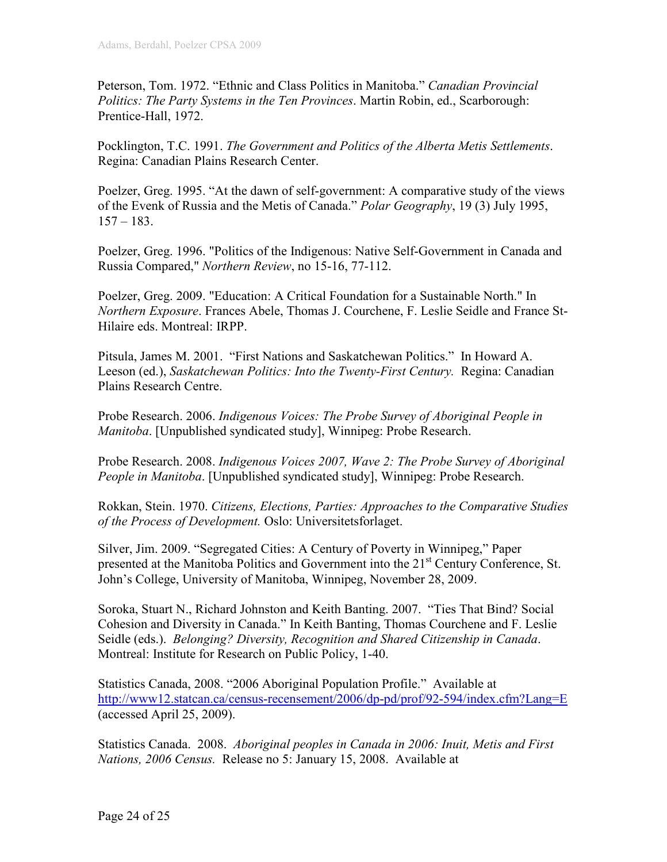Peterson, Tom. 1972. "Ethnic and Class Politics in Manitoba." Canadian Provincial Politics: The Party Systems in the Ten Provinces. Martin Robin, ed., Scarborough: Prentice-Hall, 1972.

Pocklington, T.C. 1991. The Government and Politics of the Alberta Metis Settlements. Regina: Canadian Plains Research Center.

Poelzer, Greg. 1995. "At the dawn of self-government: A comparative study of the views of the Evenk of Russia and the Metis of Canada." *Polar Geography*, 19 (3) July 1995,  $157 - 183$ .

Poelzer, Greg. 1996. "Politics of the Indigenous: Native Self-Government in Canada and Russia Compared," Northern Review, no 15-16, 77-112.

Poelzer, Greg. 2009. "Education: A Critical Foundation for a Sustainable North." In Northern Exposure. Frances Abele, Thomas J. Courchene, F. Leslie Seidle and France St-Hilaire eds. Montreal: IRPP.

Pitsula, James M. 2001. "First Nations and Saskatchewan Politics." In Howard A. Leeson (ed.), Saskatchewan Politics: Into the Twenty-First Century. Regina: Canadian Plains Research Centre.

Probe Research. 2006. Indigenous Voices: The Probe Survey of Aboriginal People in Manitoba. [Unpublished syndicated study], Winnipeg: Probe Research.

Probe Research. 2008. Indigenous Voices 2007, Wave 2: The Probe Survey of Aboriginal People in Manitoba. [Unpublished syndicated study], Winnipeg: Probe Research.

Rokkan, Stein. 1970. Citizens, Elections, Parties: Approaches to the Comparative Studies of the Process of Development. Oslo: Universitetsforlaget.

Silver, Jim. 2009. "Segregated Cities: A Century of Poverty in Winnipeg," Paper presented at the Manitoba Politics and Government into the 21<sup>st</sup> Century Conference, St. John's College, University of Manitoba, Winnipeg, November 28, 2009.

Soroka, Stuart N., Richard Johnston and Keith Banting. 2007. "Ties That Bind? Social Cohesion and Diversity in Canada." In Keith Banting, Thomas Courchene and F. Leslie Seidle (eds.). Belonging? Diversity, Recognition and Shared Citizenship in Canada. Montreal: Institute for Research on Public Policy, 1-40.

Statistics Canada, 2008. "2006 Aboriginal Population Profile." Available at http://www12.statcan.ca/census-recensement/2006/dp-pd/prof/92-594/index.cfm?Lang=E (accessed April 25, 2009).

Statistics Canada. 2008. Aboriginal peoples in Canada in 2006: Inuit, Metis and First Nations, 2006 Census. Release no 5: January 15, 2008. Available at